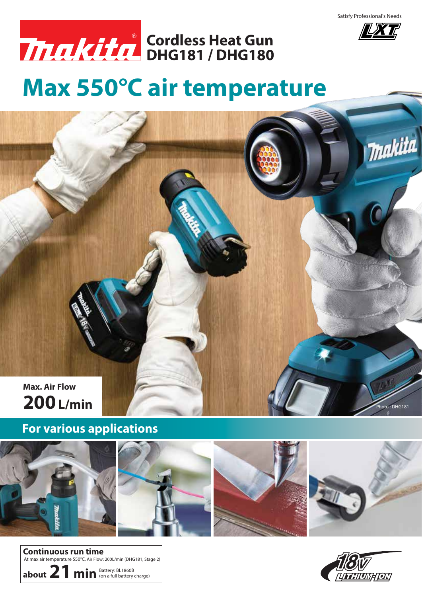

**IXT** 

makita



**DHG181 / DHG180 Cordless Heat Gun**

## **Max 550°C air temperature**



## **For various applications**









 $\circ$ to : DHG181